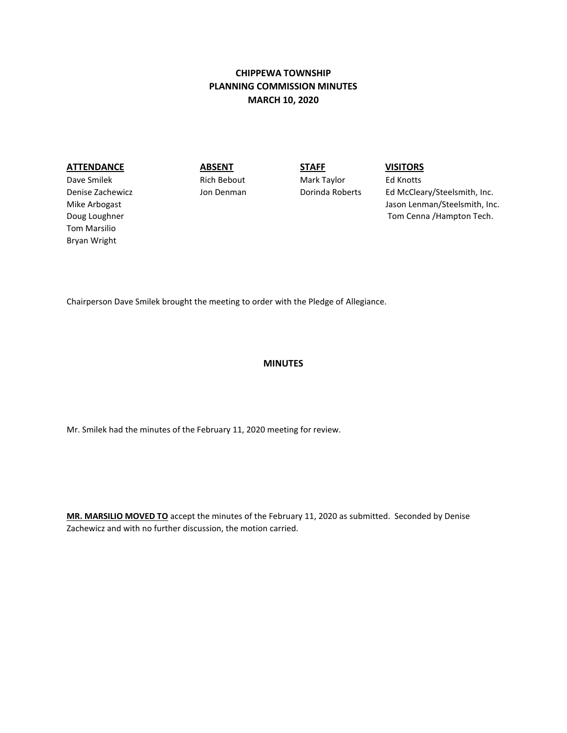# **CHIPPEWA TOWNSHIP PLANNING COMMISSION MINUTES MARCH 10, 2020**

## **ATTENDANCE ABSENT STAFF VISITORS**

Dave Smilek **Rich Bebout** Mark Taylor Ed Knotts Tom Marsilio Bryan Wright

Denise Zachewicz Jon Denman Dorinda Roberts Ed McCleary/Steelsmith, Inc. Mike Arbogast **Jason Lenman/Steelsmith, Inc. Jason Lenman/Steelsmith, Inc.** Doug Loughner Tech. Tom Cenna /Hampton Tech.

Chairperson Dave Smilek brought the meeting to order with the Pledge of Allegiance.

### **MINUTES**

Mr. Smilek had the minutes of the February 11, 2020 meeting for review.

**MR. MARSILIO MOVED TO** accept the minutes of the February 11, 2020 as submitted. Seconded by Denise Zachewicz and with no further discussion, the motion carried.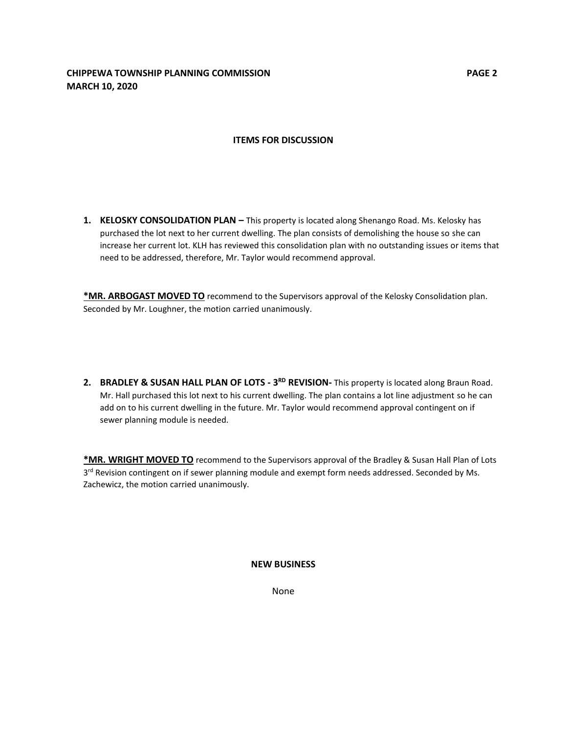### **ITEMS FOR DISCUSSION**

**1. KELOSKY CONSOLIDATION PLAN –** This property is located along Shenango Road. Ms. Kelosky has purchased the lot next to her current dwelling. The plan consists of demolishing the house so she can increase her current lot. KLH has reviewed this consolidation plan with no outstanding issues or items that need to be addressed, therefore, Mr. Taylor would recommend approval.

**\*MR. ARBOGAST MOVED TO** recommend to the Supervisors approval of the Kelosky Consolidation plan. Seconded by Mr. Loughner, the motion carried unanimously.

2. BRADLEY & SUSAN HALL PLAN OF LOTS - 3<sup>RD</sup> REVISION- This property is located along Braun Road. Mr. Hall purchased this lot next to his current dwelling. The plan contains a lot line adjustment so he can add on to his current dwelling in the future. Mr. Taylor would recommend approval contingent on if sewer planning module is needed.

**\*MR. WRIGHT MOVED TO** recommend to the Supervisors approval of the Bradley & Susan Hall Plan of Lots 3<sup>rd</sup> Revision contingent on if sewer planning module and exempt form needs addressed. Seconded by Ms. Zachewicz, the motion carried unanimously.

**NEW BUSINESS**

None